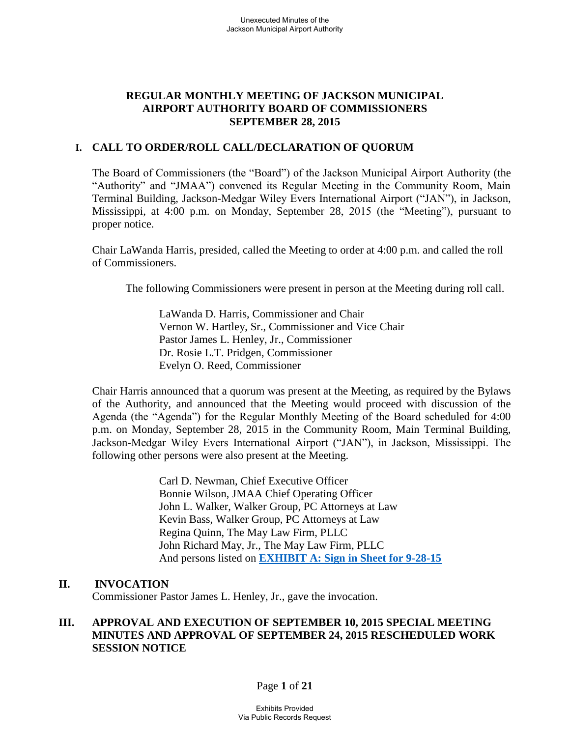## **REGULAR MONTHLY MEETING OF JACKSON MUNICIPAL AIRPORT AUTHORITY BOARD OF COMMISSIONERS SEPTEMBER 28, 2015**

### **I. CALL TO ORDER/ROLL CALL/DECLARATION OF QUORUM**

The Board of Commissioners (the "Board") of the Jackson Municipal Airport Authority (the "Authority" and "JMAA") convened its Regular Meeting in the Community Room, Main Terminal Building, Jackson-Medgar Wiley Evers International Airport ("JAN"), in Jackson, Mississippi, at 4:00 p.m. on Monday, September 28, 2015 (the "Meeting"), pursuant to proper notice.

Chair LaWanda Harris, presided, called the Meeting to order at 4:00 p.m. and called the roll of Commissioners.

The following Commissioners were present in person at the Meeting during roll call.

 LaWanda D. Harris, Commissioner and Chair Vernon W. Hartley, Sr., Commissioner and Vice Chair Pastor James L. Henley, Jr., Commissioner Dr. Rosie L.T. Pridgen, Commissioner Evelyn O. Reed, Commissioner

Chair Harris announced that a quorum was present at the Meeting, as required by the Bylaws of the Authority, and announced that the Meeting would proceed with discussion of the Agenda (the "Agenda") for the Regular Monthly Meeting of the Board scheduled for 4:00 p.m. on Monday, September 28, 2015 in the Community Room, Main Terminal Building, Jackson-Medgar Wiley Evers International Airport ("JAN"), in Jackson, Mississippi. The following other persons were also present at the Meeting.

> Carl D. Newman, Chief Executive Officer Bonnie Wilson, JMAA Chief Operating Officer John L. Walker, Walker Group, PC Attorneys at Law Kevin Bass, Walker Group, PC Attorneys at Law Regina Quinn, The May Law Firm, PLLC John Richard May, Jr., The May Law Firm, PLLC And persons listed on **[EXHIBIT A: Sign in Sheet for 9-28-15](../2015-02%20Board%20Meeting/Sign-In%20Sheet%20Regular%20Board%20Meeting%20February%2023%202015.pdf)**

#### **II. INVOCATION**

Commissioner Pastor James L. Henley, Jr., gave the invocation.

## **III. APPROVAL AND EXECUTION OF SEPTEMBER 10, 2015 SPECIAL MEETING MINUTES AND APPROVAL OF SEPTEMBER 24, 2015 RESCHEDULED WORK SESSION NOTICE**

#### Page **1** of **21**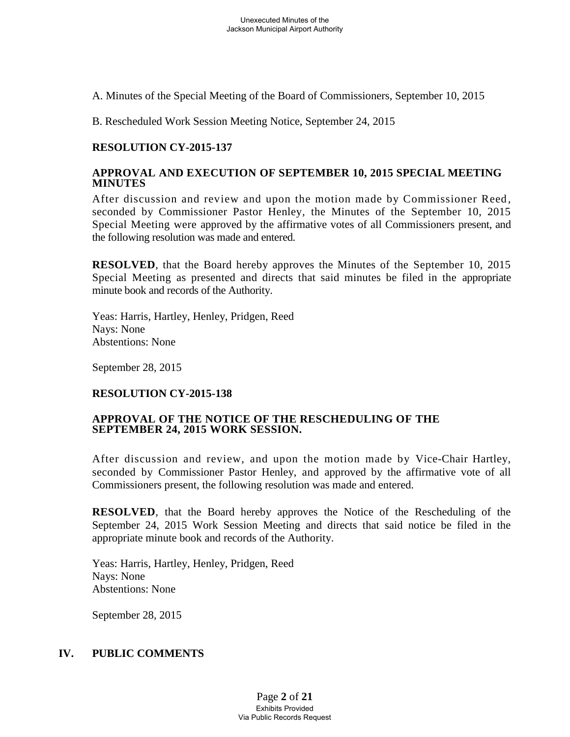A. Minutes of the Special Meeting of the Board of Commissioners, September 10, 2015

B. Rescheduled Work Session Meeting Notice, September 24, 2015

## **RESOLUTION CY-2015-137**

#### **APPROVAL AND EXECUTION OF SEPTEMBER 10, 2015 SPECIAL MEETING MINUTES**

After discussion and review and upon the motion made by Commissioner Reed, seconded by Commissioner Pastor Henley, the Minutes of the September 10, 2015 Special Meeting were approved by the affirmative votes of all Commissioners present, and the following resolution was made and entered.

**RESOLVED**, that the Board hereby approves the Minutes of the September 10, 2015 Special Meeting as presented and directs that said minutes be filed in the appropriate minute book and records of the Authority.

Yeas: Harris, Hartley, Henley, Pridgen, Reed Nays: None Abstentions: None

September 28, 2015

## **RESOLUTION CY-2015-138**

#### **APPROVAL OF THE NOTICE OF THE RESCHEDULING OF THE SEPTEMBER 24, 2015 WORK SESSION.**

After discussion and review, and upon the motion made by Vice-Chair Hartley, seconded by Commissioner Pastor Henley, and approved by the affirmative vote of all Commissioners present, the following resolution was made and entered.

**RESOLVED**, that the Board hereby approves the Notice of the Rescheduling of the September 24, 2015 Work Session Meeting and directs that said notice be filed in the appropriate minute book and records of the Authority.

Yeas: Harris, Hartley, Henley, Pridgen, Reed Nays: None Abstentions: None

September 28, 2015

## **IV. PUBLIC COMMENTS**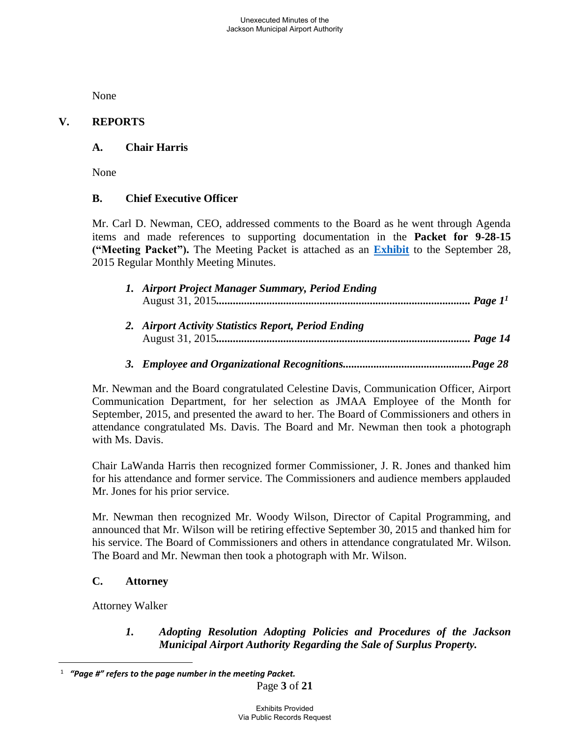None

## **V. REPORTS**

## **A. Chair Harris**

None

## **B. Chief Executive Officer**

Mr. Carl D. Newman, CEO, addressed comments to the Board as he went through Agenda items and made references to supporting documentation in the **Packet for 9-28-15 ("Meeting Packet").** The Meeting Packet is attached as an **[Exhibit](../2015-02%20Board%20Meeting/Packet.pdf)** to the September 28, 2015 Regular Monthly Meeting Minutes.

| 1. Airport Project Manager Summary, Period Ending |  |
|---------------------------------------------------|--|
|                                                   |  |
| .                                                 |  |

- *2. Airport Activity Statistics Report, Period Ending*  August 31, 2015*........................................................................................... Page 14*
- *3. Employee and Organizational Recognitions..............................................Page 28*

Mr. Newman and the Board congratulated Celestine Davis, Communication Officer, Airport Communication Department, for her selection as JMAA Employee of the Month for September, 2015, and presented the award to her. The Board of Commissioners and others in attendance congratulated Ms. Davis. The Board and Mr. Newman then took a photograph with Ms. Davis.

Chair LaWanda Harris then recognized former Commissioner, J. R. Jones and thanked him for his attendance and former service. The Commissioners and audience members applauded Mr. Jones for his prior service.

Mr. Newman then recognized Mr. Woody Wilson, Director of Capital Programming, and announced that Mr. Wilson will be retiring effective September 30, 2015 and thanked him for his service. The Board of Commissioners and others in attendance congratulated Mr. Wilson. The Board and Mr. Newman then took a photograph with Mr. Wilson.

## **C. Attorney**

Attorney Walker

 $\overline{a}$ 

 *1. Adopting Resolution Adopting Policies and Procedures of the Jackson Municipal Airport Authority Regarding the Sale of Surplus Property.* 

<sup>1</sup>  *"Page #" refers to the page number in the meeting Packet.*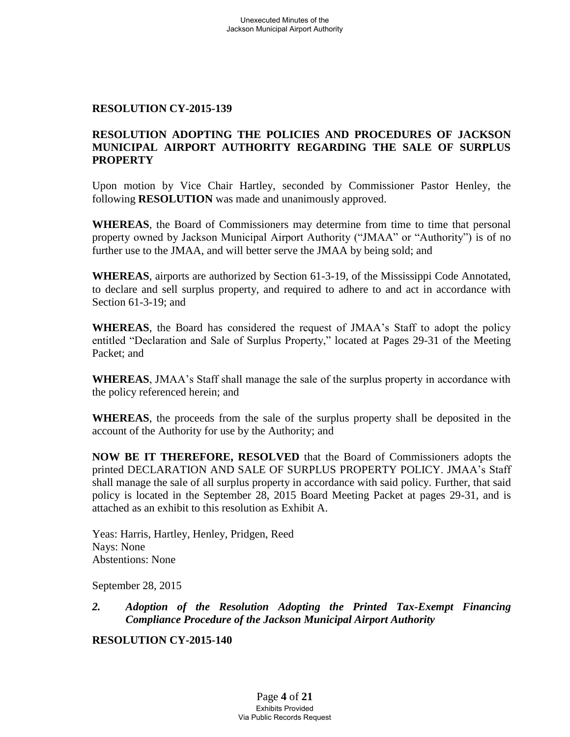#### **RESOLUTION CY-2015-139**

## **RESOLUTION ADOPTING THE POLICIES AND PROCEDURES OF JACKSON MUNICIPAL AIRPORT AUTHORITY REGARDING THE SALE OF SURPLUS PROPERTY**

Upon motion by Vice Chair Hartley, seconded by Commissioner Pastor Henley, the following **RESOLUTION** was made and unanimously approved.

**WHEREAS**, the Board of Commissioners may determine from time to time that personal property owned by Jackson Municipal Airport Authority ("JMAA" or "Authority") is of no further use to the JMAA, and will better serve the JMAA by being sold; and

**WHEREAS**, airports are authorized by Section 61-3-19, of the Mississippi Code Annotated, to declare and sell surplus property, and required to adhere to and act in accordance with Section 61-3-19; and

**WHEREAS**, the Board has considered the request of JMAA's Staff to adopt the policy entitled "Declaration and Sale of Surplus Property," located at Pages 29-31 of the Meeting Packet; and

**WHEREAS**, JMAA's Staff shall manage the sale of the surplus property in accordance with the policy referenced herein; and

**WHEREAS**, the proceeds from the sale of the surplus property shall be deposited in the account of the Authority for use by the Authority; and

**NOW BE IT THEREFORE, RESOLVED** that the Board of Commissioners adopts the printed DECLARATION AND SALE OF SURPLUS PROPERTY POLICY. JMAA's Staff shall manage the sale of all surplus property in accordance with said policy. Further, that said policy is located in the September 28, 2015 Board Meeting Packet at pages 29-31, and is attached as an exhibit to this resolution as Exhibit A.

Yeas: Harris, Hartley, Henley, Pridgen, Reed Nays: None Abstentions: None

September 28, 2015

*2. Adoption of the Resolution Adopting the Printed Tax-Exempt Financing Compliance Procedure of the Jackson Municipal Airport Authority* 

**RESOLUTION CY-2015-140**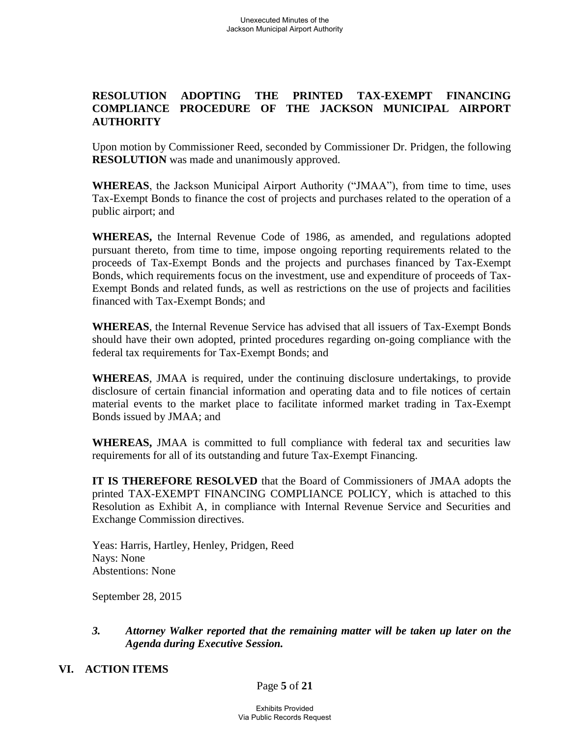### **RESOLUTION ADOPTING THE PRINTED TAX-EXEMPT FINANCING COMPLIANCE PROCEDURE OF THE JACKSON MUNICIPAL AIRPORT AUTHORITY**

Upon motion by Commissioner Reed, seconded by Commissioner Dr. Pridgen, the following **RESOLUTION** was made and unanimously approved.

**WHEREAS**, the Jackson Municipal Airport Authority ("JMAA"), from time to time, uses Tax-Exempt Bonds to finance the cost of projects and purchases related to the operation of a public airport; and

**WHEREAS,** the Internal Revenue Code of 1986, as amended, and regulations adopted pursuant thereto, from time to time, impose ongoing reporting requirements related to the proceeds of Tax-Exempt Bonds and the projects and purchases financed by Tax-Exempt Bonds, which requirements focus on the investment, use and expenditure of proceeds of Tax-Exempt Bonds and related funds, as well as restrictions on the use of projects and facilities financed with Tax-Exempt Bonds; and

**WHEREAS**, the Internal Revenue Service has advised that all issuers of Tax-Exempt Bonds should have their own adopted, printed procedures regarding on-going compliance with the federal tax requirements for Tax-Exempt Bonds; and

**WHEREAS**, JMAA is required, under the continuing disclosure undertakings, to provide disclosure of certain financial information and operating data and to file notices of certain material events to the market place to facilitate informed market trading in Tax-Exempt Bonds issued by JMAA; and

**WHEREAS,** JMAA is committed to full compliance with federal tax and securities law requirements for all of its outstanding and future Tax-Exempt Financing.

**IT IS THEREFORE RESOLVED** that the Board of Commissioners of JMAA adopts the printed TAX-EXEMPT FINANCING COMPLIANCE POLICY, which is attached to this Resolution as Exhibit A, in compliance with Internal Revenue Service and Securities and Exchange Commission directives.

Yeas: Harris, Hartley, Henley, Pridgen, Reed Nays: None Abstentions: None

September 28, 2015

## *3. Attorney Walker reported that the remaining matter will be taken up later on the Agenda during Executive Session.*

#### **VI. ACTION ITEMS**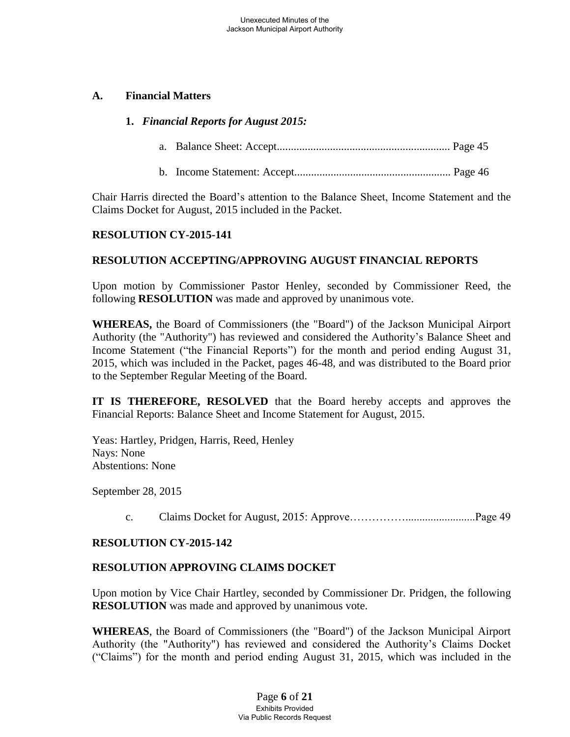#### **A. Financial Matters**

#### **1.** *Financial Reports for August 2015:*

- a. Balance Sheet: Accept.............................................................. Page 45
- b. Income Statement: Accept........................................................ Page 46

Chair Harris directed the Board's attention to the Balance Sheet, Income Statement and the Claims Docket for August, 2015 included in the Packet.

#### **RESOLUTION CY-2015-141**

#### **RESOLUTION ACCEPTING/APPROVING AUGUST FINANCIAL REPORTS**

Upon motion by Commissioner Pastor Henley, seconded by Commissioner Reed, the following **RESOLUTION** was made and approved by unanimous vote.

**WHEREAS,** the Board of Commissioners (the "Board") of the Jackson Municipal Airport Authority (the "Authority") has reviewed and considered the Authority's Balance Sheet and Income Statement ("the Financial Reports") for the month and period ending August 31, 2015, which was included in the Packet, pages 46-48, and was distributed to the Board prior to the September Regular Meeting of the Board.

**IT IS THEREFORE, RESOLVED** that the Board hereby accepts and approves the Financial Reports: Balance Sheet and Income Statement for August, 2015.

Yeas: Hartley, Pridgen, Harris, Reed, Henley Nays: None Abstentions: None

September 28, 2015

c. Claims Docket for August, 2015: Approve…………….........................Page 49

## **RESOLUTION CY-2015-142**

## **RESOLUTION APPROVING CLAIMS DOCKET**

Upon motion by Vice Chair Hartley, seconded by Commissioner Dr. Pridgen, the following **RESOLUTION** was made and approved by unanimous vote.

**WHEREAS**, the Board of Commissioners (the "Board") of the Jackson Municipal Airport Authority (the "Authority") has reviewed and considered the Authority's Claims Docket ("Claims") for the month and period ending August 31, 2015, which was included in the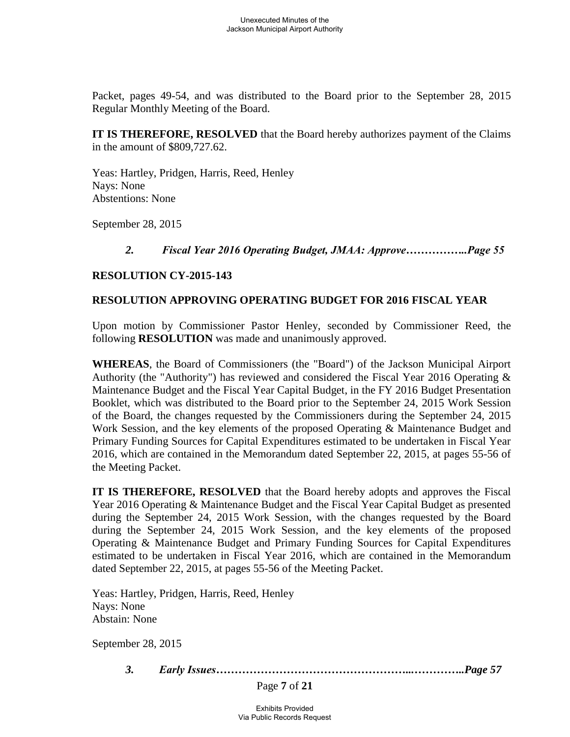Packet, pages 49-54, and was distributed to the Board prior to the September 28, 2015 Regular Monthly Meeting of the Board.

**IT IS THEREFORE, RESOLVED** that the Board hereby authorizes payment of the Claims in the amount of \$809,727.62.

Yeas: Hartley, Pridgen, Harris, Reed, Henley Nays: None Abstentions: None

September 28, 2015

## *2. Fiscal Year 2016 Operating Budget, JMAA: Approve……………..Page 55*

#### **RESOLUTION CY-2015-143**

#### **RESOLUTION APPROVING OPERATING BUDGET FOR 2016 FISCAL YEAR**

Upon motion by Commissioner Pastor Henley, seconded by Commissioner Reed, the following **RESOLUTION** was made and unanimously approved.

**WHEREAS**, the Board of Commissioners (the "Board") of the Jackson Municipal Airport Authority (the "Authority") has reviewed and considered the Fiscal Year 2016 Operating & Maintenance Budget and the Fiscal Year Capital Budget, in the FY 2016 Budget Presentation Booklet, which was distributed to the Board prior to the September 24, 2015 Work Session of the Board, the changes requested by the Commissioners during the September 24, 2015 Work Session, and the key elements of the proposed Operating & Maintenance Budget and Primary Funding Sources for Capital Expenditures estimated to be undertaken in Fiscal Year 2016, which are contained in the Memorandum dated September 22, 2015, at pages 55-56 of the Meeting Packet.

**IT IS THEREFORE, RESOLVED** that the Board hereby adopts and approves the Fiscal Year 2016 Operating & Maintenance Budget and the Fiscal Year Capital Budget as presented during the September 24, 2015 Work Session, with the changes requested by the Board during the September 24, 2015 Work Session, and the key elements of the proposed Operating & Maintenance Budget and Primary Funding Sources for Capital Expenditures estimated to be undertaken in Fiscal Year 2016, which are contained in the Memorandum dated September 22, 2015, at pages 55-56 of the Meeting Packet.

Yeas: Hartley, Pridgen, Harris, Reed, Henley Nays: None Abstain: None

September 28, 2015

*3. Early Issues……………………………………………...…………..Page 57*

Page **7** of **21**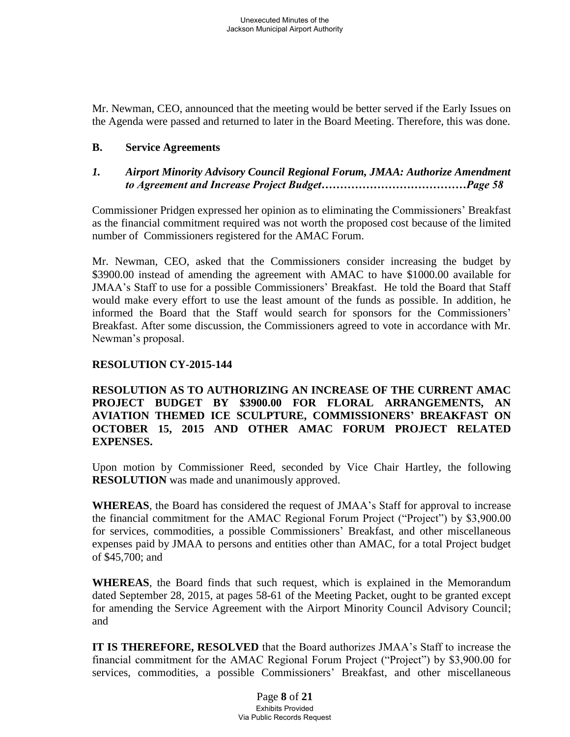Mr. Newman, CEO, announced that the meeting would be better served if the Early Issues on the Agenda were passed and returned to later in the Board Meeting. Therefore, this was done.

#### **B. Service Agreements**

### *1. Airport Minority Advisory Council Regional Forum, JMAA: Authorize Amendment to Agreement and Increase Project Budget…………………………………Page 58*

Commissioner Pridgen expressed her opinion as to eliminating the Commissioners' Breakfast as the financial commitment required was not worth the proposed cost because of the limited number of Commissioners registered for the AMAC Forum.

Mr. Newman, CEO, asked that the Commissioners consider increasing the budget by \$3900.00 instead of amending the agreement with AMAC to have \$1000.00 available for JMAA's Staff to use for a possible Commissioners' Breakfast. He told the Board that Staff would make every effort to use the least amount of the funds as possible. In addition, he informed the Board that the Staff would search for sponsors for the Commissioners' Breakfast. After some discussion, the Commissioners agreed to vote in accordance with Mr. Newman's proposal.

#### **RESOLUTION CY-2015-144**

**RESOLUTION AS TO AUTHORIZING AN INCREASE OF THE CURRENT AMAC PROJECT BUDGET BY \$3900.00 FOR FLORAL ARRANGEMENTS, AN AVIATION THEMED ICE SCULPTURE, COMMISSIONERS' BREAKFAST ON OCTOBER 15, 2015 AND OTHER AMAC FORUM PROJECT RELATED EXPENSES.**

Upon motion by Commissioner Reed, seconded by Vice Chair Hartley, the following **RESOLUTION** was made and unanimously approved.

**WHEREAS**, the Board has considered the request of JMAA's Staff for approval to increase the financial commitment for the AMAC Regional Forum Project ("Project") by \$3,900.00 for services, commodities, a possible Commissioners' Breakfast, and other miscellaneous expenses paid by JMAA to persons and entities other than AMAC, for a total Project budget of \$45,700; and

**WHEREAS**, the Board finds that such request, which is explained in the Memorandum dated September 28, 2015, at pages 58-61 of the Meeting Packet, ought to be granted except for amending the Service Agreement with the Airport Minority Council Advisory Council; and

**IT IS THEREFORE, RESOLVED** that the Board authorizes JMAA's Staff to increase the financial commitment for the AMAC Regional Forum Project ("Project") by \$3,900.00 for services, commodities, a possible Commissioners' Breakfast, and other miscellaneous

> Page **8** of **21** Exhibits Provided Via Public Records Request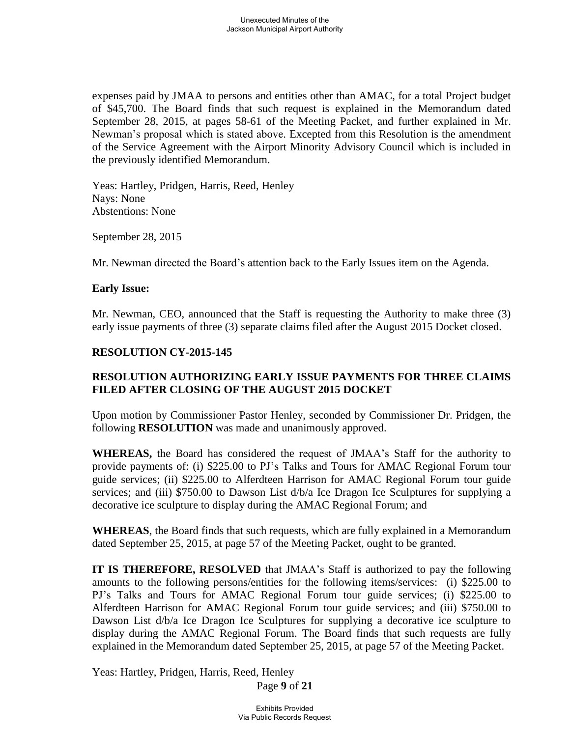expenses paid by JMAA to persons and entities other than AMAC, for a total Project budget of \$45,700. The Board finds that such request is explained in the Memorandum dated September 28, 2015, at pages 58-61 of the Meeting Packet, and further explained in Mr. Newman's proposal which is stated above. Excepted from this Resolution is the amendment of the Service Agreement with the Airport Minority Advisory Council which is included in the previously identified Memorandum.

 Yeas: Hartley, Pridgen, Harris, Reed, Henley Nays: None Abstentions: None

September 28, 2015

Mr. Newman directed the Board's attention back to the Early Issues item on the Agenda.

#### **Early Issue:**

Mr. Newman, CEO, announced that the Staff is requesting the Authority to make three (3) early issue payments of three (3) separate claims filed after the August 2015 Docket closed.

## **RESOLUTION CY-2015-145**

# **RESOLUTION AUTHORIZING EARLY ISSUE PAYMENTS FOR THREE CLAIMS FILED AFTER CLOSING OF THE AUGUST 2015 DOCKET**

Upon motion by Commissioner Pastor Henley, seconded by Commissioner Dr. Pridgen, the following **RESOLUTION** was made and unanimously approved.

**WHEREAS,** the Board has considered the request of JMAA's Staff for the authority to provide payments of: (i) \$225.00 to PJ's Talks and Tours for AMAC Regional Forum tour guide services; (ii) \$225.00 to Alferdteen Harrison for AMAC Regional Forum tour guide services; and (iii) \$750.00 to Dawson List  $d/b/a$  Ice Dragon Ice Sculptures for supplying a decorative ice sculpture to display during the AMAC Regional Forum; and

**WHEREAS**, the Board finds that such requests, which are fully explained in a Memorandum dated September 25, 2015, at page 57 of the Meeting Packet, ought to be granted.

**IT IS THEREFORE, RESOLVED** that JMAA's Staff is authorized to pay the following amounts to the following persons/entities for the following items/services: (i) \$225.00 to PJ's Talks and Tours for AMAC Regional Forum tour guide services; (i) \$225.00 to Alferdteen Harrison for AMAC Regional Forum tour guide services; and (iii) \$750.00 to Dawson List  $d/b/a$  Ice Dragon Ice Sculptures for supplying a decorative ice sculpture to display during the AMAC Regional Forum. The Board finds that such requests are fully explained in the Memorandum dated September 25, 2015, at page 57 of the Meeting Packet.

Yeas: Hartley, Pridgen, Harris, Reed, Henley

Page **9** of **21**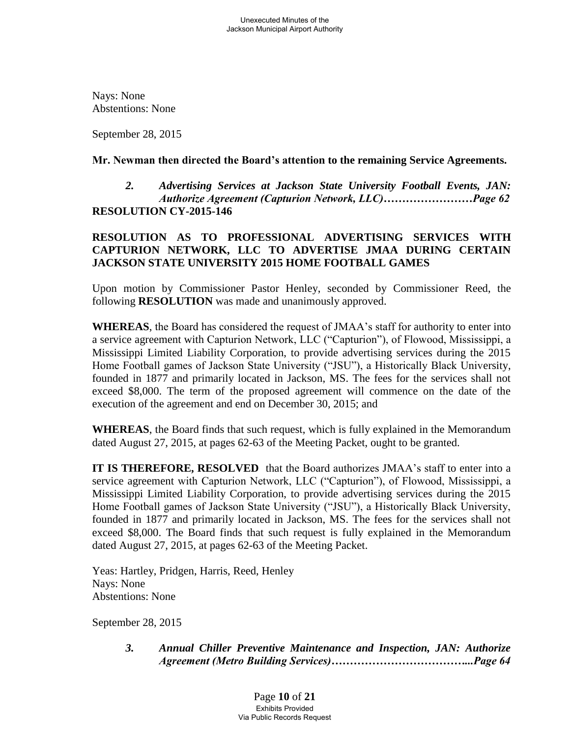Nays: None Abstentions: None

September 28, 2015

#### **Mr. Newman then directed the Board's attention to the remaining Service Agreements.**

 *2. Advertising Services at Jackson State University Football Events, JAN: Authorize Agreement (Capturion Network, LLC)……………………Page 62*  **RESOLUTION CY-2015-146**

## **RESOLUTION AS TO PROFESSIONAL ADVERTISING SERVICES WITH CAPTURION NETWORK, LLC TO ADVERTISE JMAA DURING CERTAIN JACKSON STATE UNIVERSITY 2015 HOME FOOTBALL GAMES**

Upon motion by Commissioner Pastor Henley, seconded by Commissioner Reed, the following **RESOLUTION** was made and unanimously approved.

**WHEREAS**, the Board has considered the request of JMAA's staff for authority to enter into a service agreement with Capturion Network, LLC ("Capturion"), of Flowood, Mississippi, a Mississippi Limited Liability Corporation, to provide advertising services during the 2015 Home Football games of Jackson State University ("JSU"), a Historically Black University, founded in 1877 and primarily located in Jackson, MS. The fees for the services shall not exceed \$8,000. The term of the proposed agreement will commence on the date of the execution of the agreement and end on December 30, 2015; and

**WHEREAS**, the Board finds that such request, which is fully explained in the Memorandum dated August 27, 2015, at pages 62-63 of the Meeting Packet, ought to be granted.

**IT IS THEREFORE, RESOLVED** that the Board authorizes JMAA's staff to enter into a service agreement with Capturion Network, LLC ("Capturion"), of Flowood, Mississippi, a Mississippi Limited Liability Corporation, to provide advertising services during the 2015 Home Football games of Jackson State University ("JSU"), a Historically Black University, founded in 1877 and primarily located in Jackson, MS. The fees for the services shall not exceed \$8,000. The Board finds that such request is fully explained in the Memorandum dated August 27, 2015, at pages 62-63 of the Meeting Packet.

 Yeas: Hartley, Pridgen, Harris, Reed, Henley Nays: None Abstentions: None

September 28, 2015

 *3. Annual Chiller Preventive Maintenance and Inspection, JAN: Authorize Agreement (Metro Building Services)………………………………...Page 64*

> Page **10** of **21** Exhibits Provided Via Public Records Request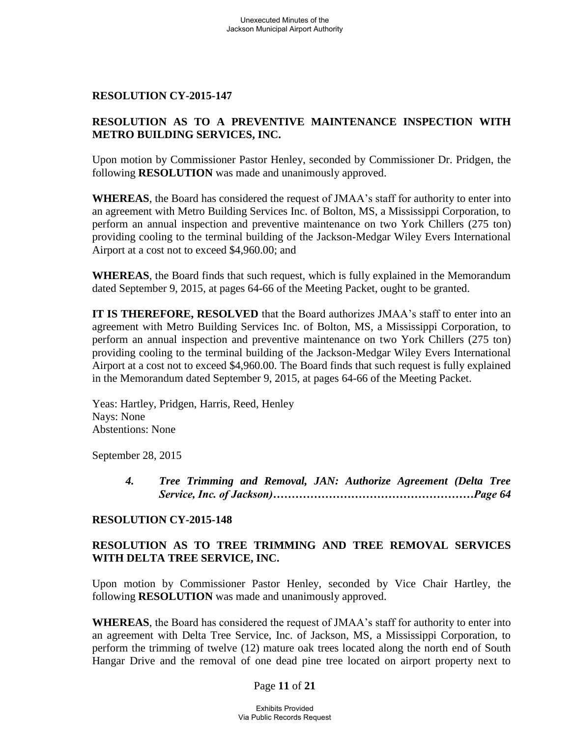#### **RESOLUTION CY-2015-147**

## **RESOLUTION AS TO A PREVENTIVE MAINTENANCE INSPECTION WITH METRO BUILDING SERVICES, INC.**

Upon motion by Commissioner Pastor Henley, seconded by Commissioner Dr. Pridgen, the following **RESOLUTION** was made and unanimously approved.

**WHEREAS**, the Board has considered the request of JMAA's staff for authority to enter into an agreement with Metro Building Services Inc. of Bolton, MS, a Mississippi Corporation, to perform an annual inspection and preventive maintenance on two York Chillers (275 ton) providing cooling to the terminal building of the Jackson-Medgar Wiley Evers International Airport at a cost not to exceed \$4,960.00; and

**WHEREAS**, the Board finds that such request, which is fully explained in the Memorandum dated September 9, 2015, at pages 64-66 of the Meeting Packet, ought to be granted.

**IT IS THEREFORE, RESOLVED** that the Board authorizes JMAA's staff to enter into an agreement with Metro Building Services Inc. of Bolton, MS, a Mississippi Corporation, to perform an annual inspection and preventive maintenance on two York Chillers (275 ton) providing cooling to the terminal building of the Jackson-Medgar Wiley Evers International Airport at a cost not to exceed \$4,960.00. The Board finds that such request is fully explained in the Memorandum dated September 9, 2015, at pages 64-66 of the Meeting Packet.

 Yeas: Hartley, Pridgen, Harris, Reed, Henley Nays: None Abstentions: None

September 28, 2015

 *4. Tree Trimming and Removal, JAN: Authorize Agreement (Delta Tree Service, Inc. of Jackson)………………………………………………Page 64*

## **RESOLUTION CY-2015-148**

# **RESOLUTION AS TO TREE TRIMMING AND TREE REMOVAL SERVICES WITH DELTA TREE SERVICE, INC.**

Upon motion by Commissioner Pastor Henley, seconded by Vice Chair Hartley, the following **RESOLUTION** was made and unanimously approved.

**WHEREAS**, the Board has considered the request of JMAA's staff for authority to enter into an agreement with Delta Tree Service, Inc. of Jackson, MS, a Mississippi Corporation, to perform the trimming of twelve (12) mature oak trees located along the north end of South Hangar Drive and the removal of one dead pine tree located on airport property next to

#### Page **11** of **21**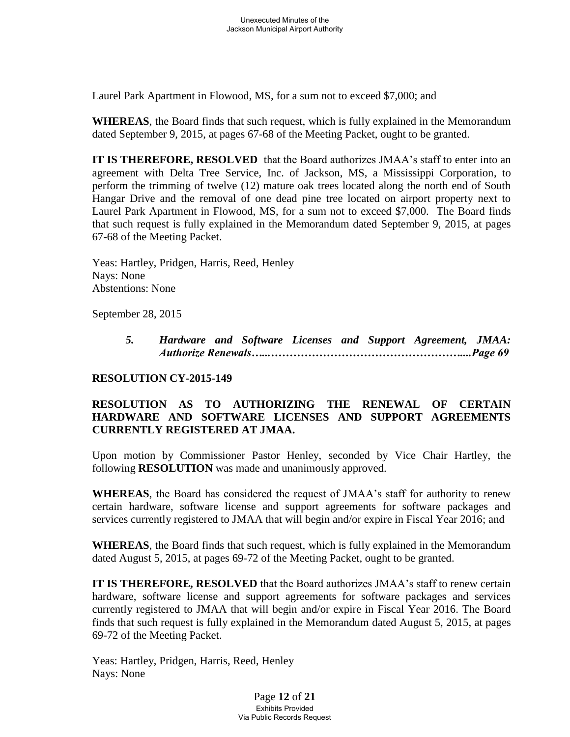Laurel Park Apartment in Flowood, MS, for a sum not to exceed \$7,000; and

**WHEREAS**, the Board finds that such request, which is fully explained in the Memorandum dated September 9, 2015, at pages 67-68 of the Meeting Packet, ought to be granted.

**IT IS THEREFORE, RESOLVED** that the Board authorizes JMAA's staff to enter into an agreement with Delta Tree Service, Inc. of Jackson, MS, a Mississippi Corporation, to perform the trimming of twelve (12) mature oak trees located along the north end of South Hangar Drive and the removal of one dead pine tree located on airport property next to Laurel Park Apartment in Flowood, MS, for a sum not to exceed \$7,000. The Board finds that such request is fully explained in the Memorandum dated September 9, 2015, at pages 67-68 of the Meeting Packet.

 Yeas: Hartley, Pridgen, Harris, Reed, Henley Nays: None Abstentions: None

September 28, 2015

 *5. Hardware and Software Licenses and Support Agreement, JMAA: Authorize Renewals…...……………………………………………....Page 69*

## **RESOLUTION CY-2015-149**

## **RESOLUTION AS TO AUTHORIZING THE RENEWAL OF CERTAIN HARDWARE AND SOFTWARE LICENSES AND SUPPORT AGREEMENTS CURRENTLY REGISTERED AT JMAA.**

Upon motion by Commissioner Pastor Henley, seconded by Vice Chair Hartley, the following **RESOLUTION** was made and unanimously approved.

**WHEREAS**, the Board has considered the request of JMAA's staff for authority to renew certain hardware, software license and support agreements for software packages and services currently registered to JMAA that will begin and/or expire in Fiscal Year 2016; and

**WHEREAS**, the Board finds that such request, which is fully explained in the Memorandum dated August 5, 2015, at pages 69-72 of the Meeting Packet, ought to be granted.

**IT IS THEREFORE, RESOLVED** that the Board authorizes JMAA's staff to renew certain hardware, software license and support agreements for software packages and services currently registered to JMAA that will begin and/or expire in Fiscal Year 2016. The Board finds that such request is fully explained in the Memorandum dated August 5, 2015, at pages 69-72 of the Meeting Packet.

 Yeas: Hartley, Pridgen, Harris, Reed, Henley Nays: None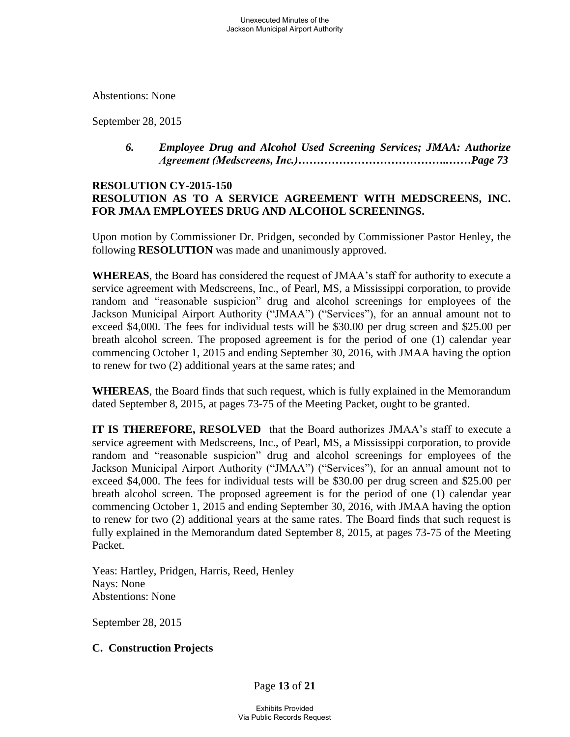Abstentions: None

September 28, 2015

 *6. Employee Drug and Alcohol Used Screening Services; JMAA: Authorize Agreement (Medscreens, Inc.)…………………………………..……Page 73* 

#### **RESOLUTION CY-2015-150 RESOLUTION AS TO A SERVICE AGREEMENT WITH MEDSCREENS, INC. FOR JMAA EMPLOYEES DRUG AND ALCOHOL SCREENINGS.**

Upon motion by Commissioner Dr. Pridgen, seconded by Commissioner Pastor Henley, the following **RESOLUTION** was made and unanimously approved.

**WHEREAS**, the Board has considered the request of JMAA's staff for authority to execute a service agreement with Medscreens, Inc., of Pearl, MS, a Mississippi corporation, to provide random and "reasonable suspicion" drug and alcohol screenings for employees of the Jackson Municipal Airport Authority ("JMAA") ("Services"), for an annual amount not to exceed \$4,000. The fees for individual tests will be \$30.00 per drug screen and \$25.00 per breath alcohol screen. The proposed agreement is for the period of one (1) calendar year commencing October 1, 2015 and ending September 30, 2016, with JMAA having the option to renew for two (2) additional years at the same rates; and

**WHEREAS**, the Board finds that such request, which is fully explained in the Memorandum dated September 8, 2015, at pages 73-75 of the Meeting Packet, ought to be granted.

**IT IS THEREFORE, RESOLVED** that the Board authorizes JMAA's staff to execute a service agreement with Medscreens, Inc., of Pearl, MS, a Mississippi corporation, to provide random and "reasonable suspicion" drug and alcohol screenings for employees of the Jackson Municipal Airport Authority ("JMAA") ("Services"), for an annual amount not to exceed \$4,000. The fees for individual tests will be \$30.00 per drug screen and \$25.00 per breath alcohol screen. The proposed agreement is for the period of one (1) calendar year commencing October 1, 2015 and ending September 30, 2016, with JMAA having the option to renew for two (2) additional years at the same rates. The Board finds that such request is fully explained in the Memorandum dated September 8, 2015, at pages 73-75 of the Meeting Packet.

 Yeas: Hartley, Pridgen, Harris, Reed, Henley Nays: None Abstentions: None

September 28, 2015

## **C. Construction Projects**

Page **13** of **21**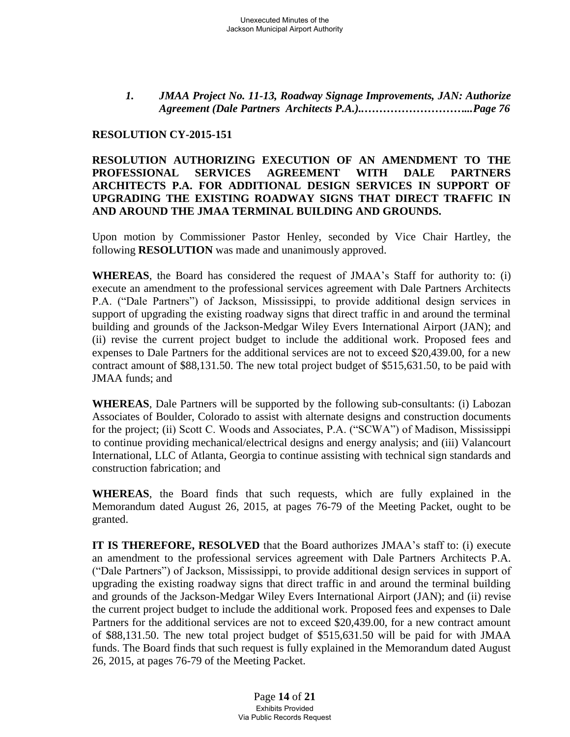*1. JMAA Project No. 11-13, Roadway Signage Improvements, JAN: Authorize Agreement (Dale Partners Architects P.A.)..………………………...Page 76*

#### **RESOLUTION CY-2015-151**

#### **RESOLUTION AUTHORIZING EXECUTION OF AN AMENDMENT TO THE PROFESSIONAL SERVICES AGREEMENT WITH DALE PARTNERS ARCHITECTS P.A. FOR ADDITIONAL DESIGN SERVICES IN SUPPORT OF UPGRADING THE EXISTING ROADWAY SIGNS THAT DIRECT TRAFFIC IN AND AROUND THE JMAA TERMINAL BUILDING AND GROUNDS.**

Upon motion by Commissioner Pastor Henley, seconded by Vice Chair Hartley, the following **RESOLUTION** was made and unanimously approved.

**WHEREAS**, the Board has considered the request of JMAA's Staff for authority to: (i) execute an amendment to the professional services agreement with Dale Partners Architects P.A. ("Dale Partners") of Jackson, Mississippi, to provide additional design services in support of upgrading the existing roadway signs that direct traffic in and around the terminal building and grounds of the Jackson-Medgar Wiley Evers International Airport (JAN); and (ii) revise the current project budget to include the additional work. Proposed fees and expenses to Dale Partners for the additional services are not to exceed \$20,439.00, for a new contract amount of \$88,131.50. The new total project budget of \$515,631.50, to be paid with JMAA funds; and

**WHEREAS**, Dale Partners will be supported by the following sub-consultants: (i) Labozan Associates of Boulder, Colorado to assist with alternate designs and construction documents for the project; (ii) Scott C. Woods and Associates, P.A. ("SCWA") of Madison, Mississippi to continue providing mechanical/electrical designs and energy analysis; and (iii) Valancourt International, LLC of Atlanta, Georgia to continue assisting with technical sign standards and construction fabrication; and

**WHEREAS**, the Board finds that such requests, which are fully explained in the Memorandum dated August 26, 2015, at pages 76-79 of the Meeting Packet, ought to be granted.

**IT IS THEREFORE, RESOLVED** that the Board authorizes JMAA's staff to: (i) execute an amendment to the professional services agreement with Dale Partners Architects P.A. ("Dale Partners") of Jackson, Mississippi, to provide additional design services in support of upgrading the existing roadway signs that direct traffic in and around the terminal building and grounds of the Jackson-Medgar Wiley Evers International Airport (JAN); and (ii) revise the current project budget to include the additional work. Proposed fees and expenses to Dale Partners for the additional services are not to exceed \$20,439.00, for a new contract amount of \$88,131.50. The new total project budget of \$515,631.50 will be paid for with JMAA funds. The Board finds that such request is fully explained in the Memorandum dated August 26, 2015, at pages 76-79 of the Meeting Packet.

> Page **14** of **21** Exhibits Provided Via Public Records Request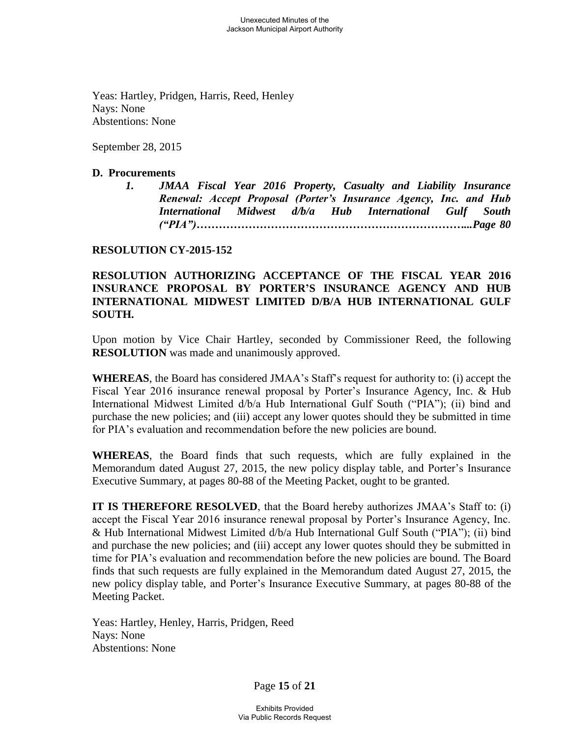Yeas: Hartley, Pridgen, Harris, Reed, Henley Nays: None Abstentions: None

September 28, 2015

#### **D. Procurements**

*1. JMAA Fiscal Year 2016 Property, Casualty and Liability Insurance Renewal: Accept Proposal (Porter's Insurance Agency, Inc. and Hub International Midwest d/b/a Hub International Gulf South ("PIA")………………………………………………………………...Page 80*

#### **RESOLUTION CY-2015-152**

### **RESOLUTION AUTHORIZING ACCEPTANCE OF THE FISCAL YEAR 2016 INSURANCE PROPOSAL BY PORTER'S INSURANCE AGENCY AND HUB INTERNATIONAL MIDWEST LIMITED D/B/A HUB INTERNATIONAL GULF SOUTH.**

Upon motion by Vice Chair Hartley, seconded by Commissioner Reed, the following **RESOLUTION** was made and unanimously approved.

**WHEREAS**, the Board has considered JMAA's Staff's request for authority to: (i) accept the Fiscal Year 2016 insurance renewal proposal by Porter's Insurance Agency, Inc. & Hub International Midwest Limited d/b/a Hub International Gulf South ("PIA"); (ii) bind and purchase the new policies; and (iii) accept any lower quotes should they be submitted in time for PIA's evaluation and recommendation before the new policies are bound.

**WHEREAS**, the Board finds that such requests, which are fully explained in the Memorandum dated August 27, 2015, the new policy display table, and Porter's Insurance Executive Summary, at pages 80-88 of the Meeting Packet, ought to be granted.

**IT IS THEREFORE RESOLVED**, that the Board hereby authorizes JMAA's Staff to: (i) accept the Fiscal Year 2016 insurance renewal proposal by Porter's Insurance Agency, Inc. & Hub International Midwest Limited d/b/a Hub International Gulf South ("PIA"); (ii) bind and purchase the new policies; and (iii) accept any lower quotes should they be submitted in time for PIA's evaluation and recommendation before the new policies are bound. The Board finds that such requests are fully explained in the Memorandum dated August 27, 2015, the new policy display table, and Porter's Insurance Executive Summary, at pages 80-88 of the Meeting Packet.

 Yeas: Hartley, Henley, Harris, Pridgen, Reed Nays: None Abstentions: None

Page **15** of **21**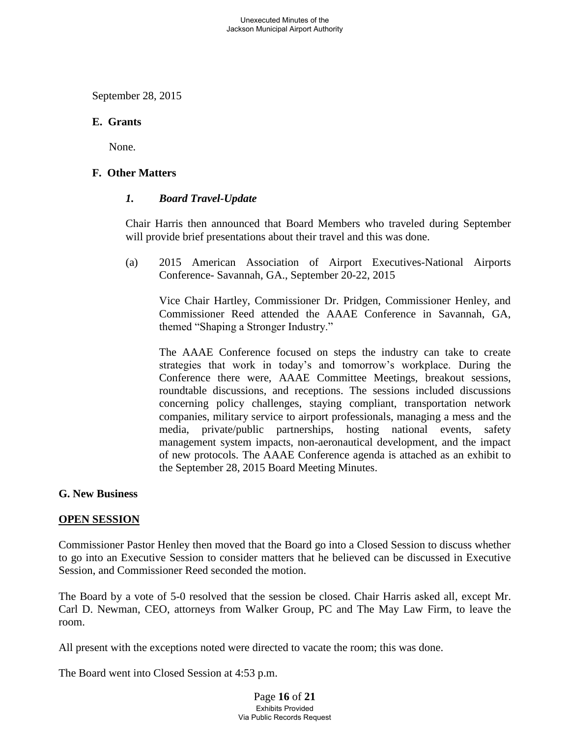September 28, 2015

#### **E. Grants**

None.

### **F. Other Matters**

#### *1. Board Travel-Update*

Chair Harris then announced that Board Members who traveled during September will provide brief presentations about their travel and this was done.

(a) 2015 American Association of Airport Executives-National Airports Conference- Savannah, GA., September 20-22, 2015

 Vice Chair Hartley, Commissioner Dr. Pridgen, Commissioner Henley, and Commissioner Reed attended the AAAE Conference in Savannah, GA, themed "Shaping a Stronger Industry."

The AAAE Conference focused on steps the industry can take to create strategies that work in today's and tomorrow's workplace. During the Conference there were, AAAE Committee Meetings, breakout sessions, roundtable discussions, and receptions. The sessions included discussions concerning policy challenges, staying compliant, transportation network companies, military service to airport professionals, managing a mess and the media, private/public partnerships, hosting national events, safety management system impacts, non-aeronautical development, and the impact of new protocols. The AAAE Conference agenda is attached as an exhibit to the September 28, 2015 Board Meeting Minutes.

#### **G. New Business**

#### **OPEN SESSION**

Commissioner Pastor Henley then moved that the Board go into a Closed Session to discuss whether to go into an Executive Session to consider matters that he believed can be discussed in Executive Session, and Commissioner Reed seconded the motion.

The Board by a vote of 5-0 resolved that the session be closed. Chair Harris asked all, except Mr. Carl D. Newman, CEO, attorneys from Walker Group, PC and The May Law Firm, to leave the room.

All present with the exceptions noted were directed to vacate the room; this was done.

The Board went into Closed Session at 4:53 p.m.

Page **16** of **21** Exhibits Provided Via Public Records Request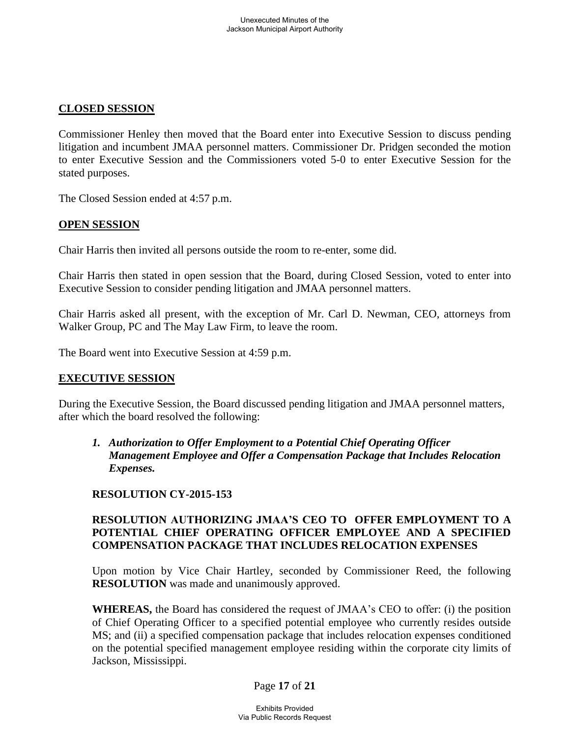### **CLOSED SESSION**

Commissioner Henley then moved that the Board enter into Executive Session to discuss pending litigation and incumbent JMAA personnel matters. Commissioner Dr. Pridgen seconded the motion to enter Executive Session and the Commissioners voted 5-0 to enter Executive Session for the stated purposes.

The Closed Session ended at 4:57 p.m.

#### **OPEN SESSION**

Chair Harris then invited all persons outside the room to re-enter, some did.

Chair Harris then stated in open session that the Board, during Closed Session, voted to enter into Executive Session to consider pending litigation and JMAA personnel matters.

Chair Harris asked all present, with the exception of Mr. Carl D. Newman, CEO, attorneys from Walker Group, PC and The May Law Firm, to leave the room.

The Board went into Executive Session at 4:59 p.m.

#### **EXECUTIVE SESSION**

During the Executive Session, the Board discussed pending litigation and JMAA personnel matters, after which the board resolved the following:

 *1. Authorization to Offer Employment to a Potential Chief Operating Officer Management Employee and Offer a Compensation Package that Includes Relocation Expenses.*

## **RESOLUTION CY-2015-153**

## **RESOLUTION AUTHORIZING JMAA'S CEO TO OFFER EMPLOYMENT TO A POTENTIAL CHIEF OPERATING OFFICER EMPLOYEE AND A SPECIFIED COMPENSATION PACKAGE THAT INCLUDES RELOCATION EXPENSES**

Upon motion by Vice Chair Hartley, seconded by Commissioner Reed, the following **RESOLUTION** was made and unanimously approved.

**WHEREAS,** the Board has considered the request of JMAA's CEO to offer: (i) the position of Chief Operating Officer to a specified potential employee who currently resides outside MS; and (ii) a specified compensation package that includes relocation expenses conditioned on the potential specified management employee residing within the corporate city limits of Jackson, Mississippi.

#### Page **17** of **21**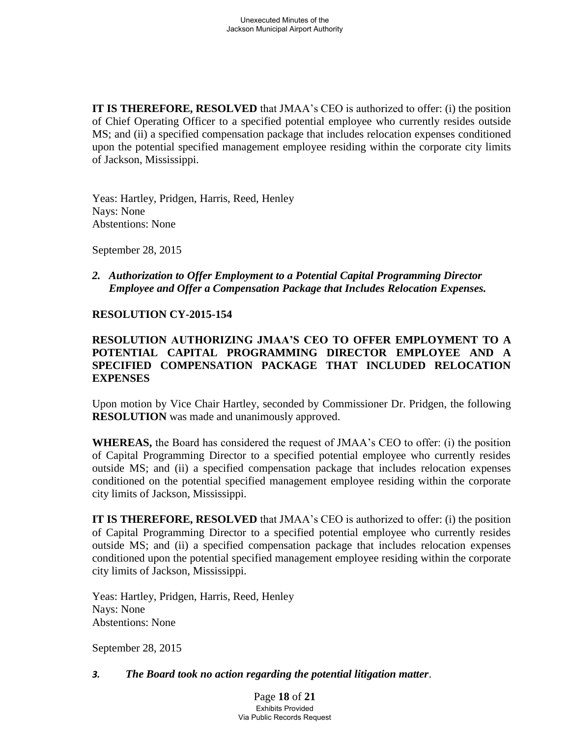**IT IS THEREFORE, RESOLVED** that JMAA's CEO is authorized to offer: (i) the position of Chief Operating Officer to a specified potential employee who currently resides outside MS; and (ii) a specified compensation package that includes relocation expenses conditioned upon the potential specified management employee residing within the corporate city limits of Jackson, Mississippi.

 Yeas: Hartley, Pridgen, Harris, Reed, Henley Nays: None Abstentions: None

September 28, 2015

 *2. Authorization to Offer Employment to a Potential Capital Programming Director Employee and Offer a Compensation Package that Includes Relocation Expenses.*

#### **RESOLUTION CY-2015-154**

## **RESOLUTION AUTHORIZING JMAA'S CEO TO OFFER EMPLOYMENT TO A POTENTIAL CAPITAL PROGRAMMING DIRECTOR EMPLOYEE AND A SPECIFIED COMPENSATION PACKAGE THAT INCLUDED RELOCATION EXPENSES**

Upon motion by Vice Chair Hartley, seconded by Commissioner Dr. Pridgen, the following **RESOLUTION** was made and unanimously approved.

**WHEREAS,** the Board has considered the request of JMAA's CEO to offer: (i) the position of Capital Programming Director to a specified potential employee who currently resides outside MS; and (ii) a specified compensation package that includes relocation expenses conditioned on the potential specified management employee residing within the corporate city limits of Jackson, Mississippi.

**IT IS THEREFORE, RESOLVED** that JMAA's CEO is authorized to offer: (i) the position of Capital Programming Director to a specified potential employee who currently resides outside MS; and (ii) a specified compensation package that includes relocation expenses conditioned upon the potential specified management employee residing within the corporate city limits of Jackson, Mississippi.

 Yeas: Hartley, Pridgen, Harris, Reed, Henley Nays: None Abstentions: None

September 28, 2015

#### *3. The Board took no action regarding the potential litigation matter*.

Page **18** of **21** Exhibits Provided Via Public Records Request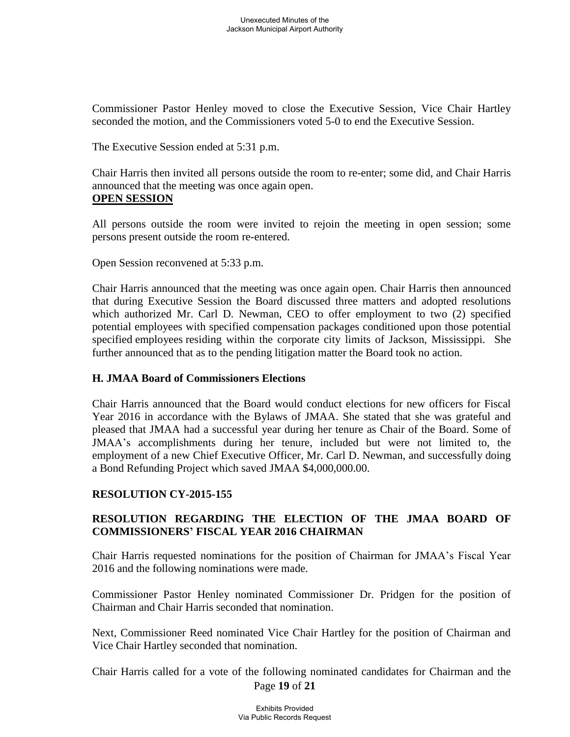Commissioner Pastor Henley moved to close the Executive Session, Vice Chair Hartley seconded the motion, and the Commissioners voted 5-0 to end the Executive Session.

The Executive Session ended at 5:31 p.m.

 Chair Harris then invited all persons outside the room to re-enter; some did, and Chair Harris announced that the meeting was once again open.

#### **OPEN SESSION**

 All persons outside the room were invited to rejoin the meeting in open session; some persons present outside the room re-entered.

Open Session reconvened at 5:33 p.m.

 Chair Harris announced that the meeting was once again open. Chair Harris then announced that during Executive Session the Board discussed three matters and adopted resolutions which authorized Mr. Carl D. Newman, CEO to offer employment to two (2) specified potential employees with specified compensation packages conditioned upon those potential specified employees residing within the corporate city limits of Jackson, Mississippi. She further announced that as to the pending litigation matter the Board took no action.

## **H. JMAA Board of Commissioners Elections**

Chair Harris announced that the Board would conduct elections for new officers for Fiscal Year 2016 in accordance with the Bylaws of JMAA. She stated that she was grateful and pleased that JMAA had a successful year during her tenure as Chair of the Board. Some of JMAA's accomplishments during her tenure, included but were not limited to, the employment of a new Chief Executive Officer, Mr. Carl D. Newman, and successfully doing a Bond Refunding Project which saved JMAA \$4,000,000.00.

# **RESOLUTION CY-2015-155**

# **RESOLUTION REGARDING THE ELECTION OF THE JMAA BOARD OF COMMISSIONERS' FISCAL YEAR 2016 CHAIRMAN**

Chair Harris requested nominations for the position of Chairman for JMAA's Fiscal Year 2016 and the following nominations were made.

Commissioner Pastor Henley nominated Commissioner Dr. Pridgen for the position of Chairman and Chair Harris seconded that nomination.

Next, Commissioner Reed nominated Vice Chair Hartley for the position of Chairman and Vice Chair Hartley seconded that nomination.

Page **19** of **21** Chair Harris called for a vote of the following nominated candidates for Chairman and the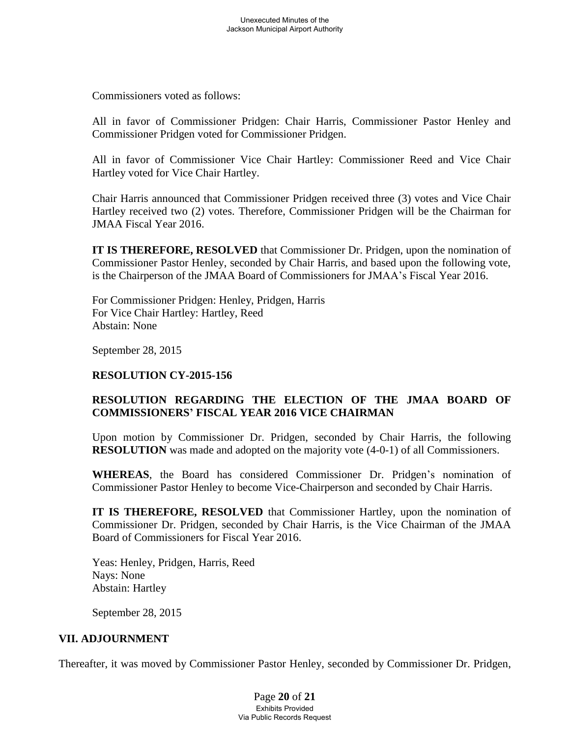Commissioners voted as follows:

All in favor of Commissioner Pridgen: Chair Harris, Commissioner Pastor Henley and Commissioner Pridgen voted for Commissioner Pridgen.

All in favor of Commissioner Vice Chair Hartley: Commissioner Reed and Vice Chair Hartley voted for Vice Chair Hartley.

Chair Harris announced that Commissioner Pridgen received three (3) votes and Vice Chair Hartley received two (2) votes. Therefore, Commissioner Pridgen will be the Chairman for JMAA Fiscal Year 2016.

**IT IS THEREFORE, RESOLVED** that Commissioner Dr. Pridgen, upon the nomination of Commissioner Pastor Henley, seconded by Chair Harris, and based upon the following vote, is the Chairperson of the JMAA Board of Commissioners for JMAA's Fiscal Year 2016.

 For Commissioner Pridgen: Henley, Pridgen, Harris For Vice Chair Hartley: Hartley, Reed Abstain: None

September 28, 2015

## **RESOLUTION CY-2015-156**

# **RESOLUTION REGARDING THE ELECTION OF THE JMAA BOARD OF COMMISSIONERS' FISCAL YEAR 2016 VICE CHAIRMAN**

Upon motion by Commissioner Dr. Pridgen, seconded by Chair Harris, the following **RESOLUTION** was made and adopted on the majority vote (4-0-1) of all Commissioners.

**WHEREAS**, the Board has considered Commissioner Dr. Pridgen's nomination of Commissioner Pastor Henley to become Vice-Chairperson and seconded by Chair Harris.

**IT IS THEREFORE, RESOLVED** that Commissioner Hartley, upon the nomination of Commissioner Dr. Pridgen, seconded by Chair Harris, is the Vice Chairman of the JMAA Board of Commissioners for Fiscal Year 2016.

 Yeas: Henley, Pridgen, Harris, Reed Nays: None Abstain: Hartley

September 28, 2015

## **VII. ADJOURNMENT**

Thereafter, it was moved by Commissioner Pastor Henley, seconded by Commissioner Dr. Pridgen,

Page **20** of **21** Exhibits Provided Via Public Records Request